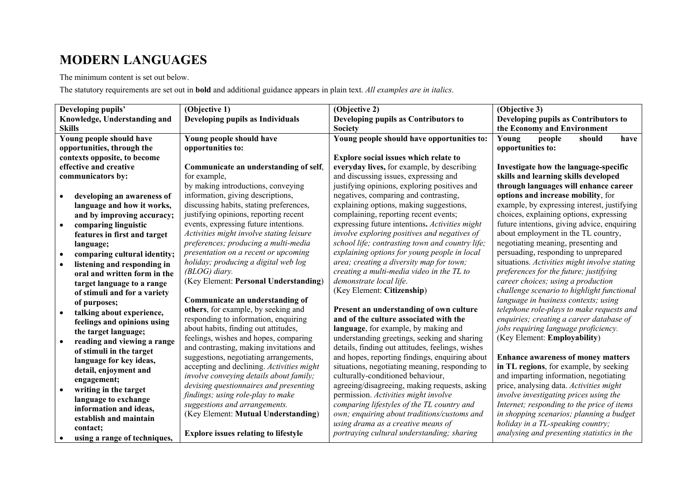## **MODERN LANGUAGES**

## The minimum content is set out below.

The statutory requirements are set out in **bold** and additional guidance appears in plain text. *All examples are in italics*.

| Developing pupils'                        | (Objective 1)                               | (Objective 2)                                    | (Objective 3)                                |
|-------------------------------------------|---------------------------------------------|--------------------------------------------------|----------------------------------------------|
| Knowledge, Understanding and              | Developing pupils as Individuals            | Developing pupils as Contributors to             | Developing pupils as Contributors to         |
| <b>Skills</b>                             |                                             | Society                                          | the Economy and Environment                  |
| Young people should have                  | Young people should have                    | Young people should have opportunities to:       | should<br>have<br>Young<br>people            |
| opportunities, through the                | opportunities to:                           |                                                  | opportunities to:                            |
| contexts opposite, to become              |                                             | Explore social issues which relate to            |                                              |
| effective and creative                    | Communicate an understanding of self,       | everyday lives, for example, by describing       | Investigate how the language-specific        |
| communicators by:                         | for example,                                | and discussing issues, expressing and            | skills and learning skills developed         |
|                                           | by making introductions, conveying          | justifying opinions, exploring positives and     | through languages will enhance career        |
| developing an awareness of                | information, giving descriptions,           | negatives, comparing and contrasting,            | options and increase mobility, for           |
| language and how it works,                | discussing habits, stating preferences,     | explaining options, making suggestions,          | example, by expressing interest, justifying  |
| and by improving accuracy;                | justifying opinions, reporting recent       | complaining, reporting recent events;            | choices, explaining options, expressing      |
| comparing linguistic<br>$\bullet$         | events, expressing future intentions.       | expressing future intentions. Activities might   | future intentions, giving advice, enquiring  |
| features in first and target              | Activities might involve stating leisure    | involve exploring positives and negatives of     | about employment in the TL country,          |
| language;                                 | preferences; producing a multi-media        | school life; contrasting town and country life;  | negotiating meaning, presenting and          |
| comparing cultural identity;<br>$\bullet$ | presentation on a recent or upcoming        | explaining options for young people in local     | persuading, responding to unprepared         |
| listening and responding in<br>$\bullet$  | holiday; producing a digital web log        | area; creating a diversity map for town;         | situations. Activities might involve stating |
| oral and written form in the              | $(BLOG)$ diary.                             | creating a multi-media video in the TL to        | preferences for the future; justifying       |
| target language to a range                | (Key Element: Personal Understanding)       | demonstrate local life.                          | career choices; using a production           |
| of stimuli and for a variety              |                                             | (Key Element: Citizenship)                       | challenge scenario to highlight functional   |
| of purposes;                              | Communicate an understanding of             |                                                  | language in business contexts; using         |
| talking about experience,<br>$\bullet$    | others, for example, by seeking and         | Present an understanding of own culture          | telephone role-plays to make requests and    |
| feelings and opinions using               | responding to information, enquiring        | and of the culture associated with the           | enquiries; creating a career database of     |
| the target language;                      | about habits, finding out attitudes,        | language, for example, by making and             | jobs requiring language proficiency.         |
| reading and viewing a range<br>$\bullet$  | feelings, wishes and hopes, comparing       | understanding greetings, seeking and sharing     | (Key Element: Employability)                 |
| of stimuli in the target                  | and contrasting, making invitations and     | details, finding out attitudes, feelings, wishes |                                              |
| language for key ideas,                   | suggestions, negotiating arrangements,      | and hopes, reporting findings, enquiring about   | <b>Enhance awareness of money matters</b>    |
| detail, enjoyment and                     | accepting and declining. Activities might   | situations, negotiating meaning, responding to   | in TL regions, for example, by seeking       |
| engagement;                               | involve conveying details about family;     | culturally-conditioned behaviour,                | and imparting information, negotiating       |
| writing in the target<br>$\bullet$        | devising questionnaires and presenting      | agreeing/disagreeing, making requests, asking    | price, analysing data. Activities might      |
| language to exchange                      | findings; using role-play to make           | permission. Activities might involve             | involve investigating prices using the       |
| information and ideas,                    | suggestions and arrangements.               | comparing lifestyles of the TL country and       | Internet; responding to the price of items   |
| establish and maintain                    | (Key Element: Mutual Understanding)         | own; enquiring about traditions/customs and      | in shopping scenarios; planning a budget     |
| contact;                                  |                                             | using drama as a creative means of               | holiday in a TL-speaking country;            |
| using a range of techniques,              | <b>Explore issues relating to lifestyle</b> | portraying cultural understanding; sharing       | analysing and presenting statistics in the   |